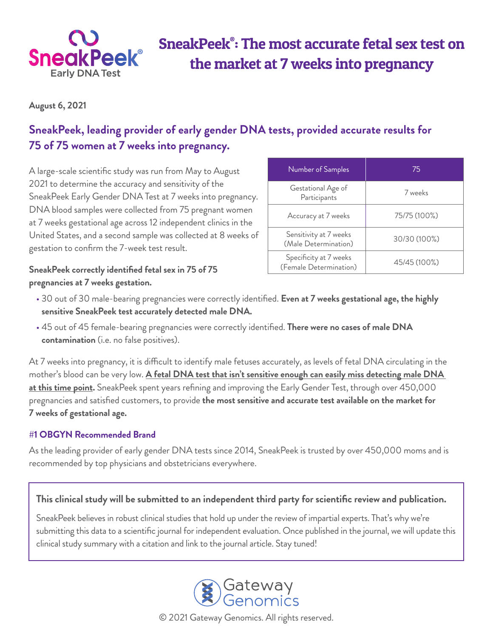

# SneakPeek® : The most accurate fetal sex test on the market at 7 weeks into pregnancy

**August 6, 2021**

## **SneakPeek, leading provider of early gender DNA tests, provided accurate results for 75 of 75 women at 7 weeks into pregnancy.**

A large-scale scientific study was run from May to August 2021 to determine the accuracy and sensitivity of the SneakPeek Early Gender DNA Test at 7 weeks into pregnancy. DNA blood samples were collected from 75 pregnant women at 7 weeks gestational age across 12 independent clinics in the United States, and a second sample was collected at 8 weeks of gestation to confirm the 7-week test result.

**SneakPeek correctly identified fetal sex in 75 of 75 pregnancies at 7 weeks gestation.** 

| Number of Samples                                | 75           |
|--------------------------------------------------|--------------|
| Gestational Age of<br>Participants               | 7 weeks      |
| Accuracy at 7 weeks                              | 75/75 (100%) |
| Sensitivity at 7 weeks<br>(Male Determination)   | 30/30 (100%) |
| Specificity at 7 weeks<br>(Female Determination) | 45/45 (100%) |

- 30 out of 30 male-bearing pregnancies were correctly identified. **Even at 7 weeks gestational age, the highly sensitive SneakPeek test accurately detected male DNA.**
- 45 out of 45 female-bearing pregnancies were correctly identified. **There were no cases of male DNA contamination** (i.e. no false positives).

At 7 weeks into pregnancy, it is difficult to identify male fetuses accurately, as levels of fetal DNA circulating in the mother's blood can be very low. **A fetal DNA test that isn't sensitive enough can easily miss detecting male DNA at this time point.** SneakPeek spent years refining and improving the Early Gender Test, through over 450,000 pregnancies and satisfied customers, to provide **the most sensitive and accurate test available on the market for 7 weeks of gestational age.** 

#### **#1 OBGYN Recommended Brand**

As the leading provider of early gender DNA tests since 2014, SneakPeek is trusted by over 450,000 moms and is recommended by top physicians and obstetricians everywhere.

#### **This clinical study will be submitted to an independent third party for scientific review and publication.**

SneakPeek believes in robust clinical studies that hold up under the review of impartial experts. That's why we're submitting this data to a scientific journal for independent evaluation. Once published in the journal, we will update this clinical study summary with a citation and link to the journal article. Stay tuned!



© 2021 Gateway Genomics. All rights reserved.